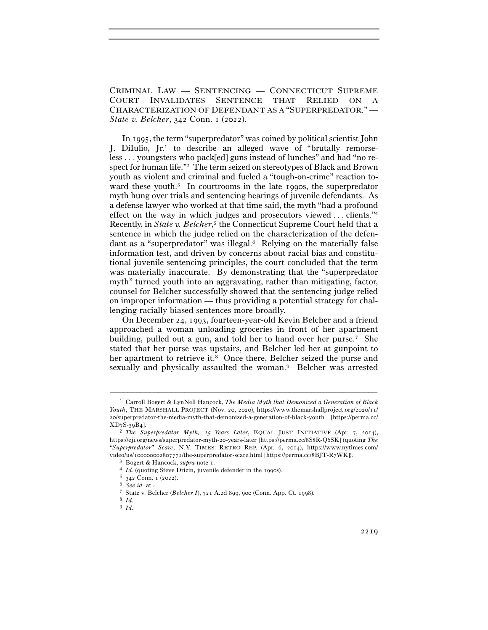CRIMINAL LAW — SENTENCING — CONNECTICUT SUPREME COURT INVALIDATES SENTENCE THAT RELIED ON A CHARACTERIZATION OF DEFENDANT AS A "SUPERPREDATOR." — *State v. Belcher*, 342 Conn. 1 (2022).

In 1995, the term "superpredator" was coined by political scientist John J. DiIulio, Jr.<sup>1</sup> to describe an alleged wave of "brutally remorseless . . . youngsters who pack[ed] guns instead of lunches" and had "no respect for human life."2 The term seized on stereotypes of Black and Brown youth as violent and criminal and fueled a "tough-on-crime" reaction toward these youth.<sup>3</sup> In courtrooms in the late 1990s, the superpredator myth hung over trials and sentencing hearings of juvenile defendants. As a defense lawyer who worked at that time said, the myth "had a profound effect on the way in which judges and prosecutors viewed . . . clients."4 Recently, in *State v. Belcher*, 5 the Connecticut Supreme Court held that a sentence in which the judge relied on the characterization of the defendant as a "superpredator" was illegal.<sup>6</sup> Relying on the materially false information test, and driven by concerns about racial bias and constitutional juvenile sentencing principles, the court concluded that the term was materially inaccurate. By demonstrating that the "superpredator myth" turned youth into an aggravating, rather than mitigating, factor, counsel for Belcher successfully showed that the sentencing judge relied on improper information — thus providing a potential strategy for challenging racially biased sentences more broadly.

On December 24, 1993, fourteen-year-old Kevin Belcher and a friend approached a woman unloading groceries in front of her apartment building, pulled out a gun, and told her to hand over her purse.<sup>7</sup> She stated that her purse was upstairs, and Belcher led her at gunpoint to her apartment to retrieve it.<sup>8</sup> Once there, Belcher seized the purse and sexually and physically assaulted the woman.<sup>9</sup> Belcher was arrested

<sup>1</sup> Carroll Bogert & LynNell Hancock, *The Media Myth that Demonized a Generation of Black Youth*, THE MARSHALL PROJECT (Nov. 20, 2020), https://www.themarshallproject.org/2020/11/ 20/superpredator-the-media-myth-that-demonized-a-generation-of-black-youth [https://perma.cc/ XD7S-39B<sup>4</sup>]. 2 *The Superpredator Myth,* 25 *Years Later*, EQUAL JUST. INITIATIVE (Apr. 7, 2014),

https://eji.org/news/superpredator-myth-20-years-later [https://perma.cc/8S8R-Q6SK] (quoting *The "Superpredator" Scare*, N.Y. TIMES: RETRO REP. (Apr. 6, 2014), https://www.nytimes.com/ video/us/100000002807771/the-superpredator-scare.html [https://perma.cc/8BJT-R7WK]).<br>
<sup>3</sup> Bogert & Hancock, *supra* note 1.<br>
<sup>4</sup> Id. (quoting Steve Drizin, juvenile defender in the 1990s).<br>
<sup>5</sup> 342 Conn. 1 (2022).<br>
<sup>6</sup> *S* 

<sup>9</sup> *Id.*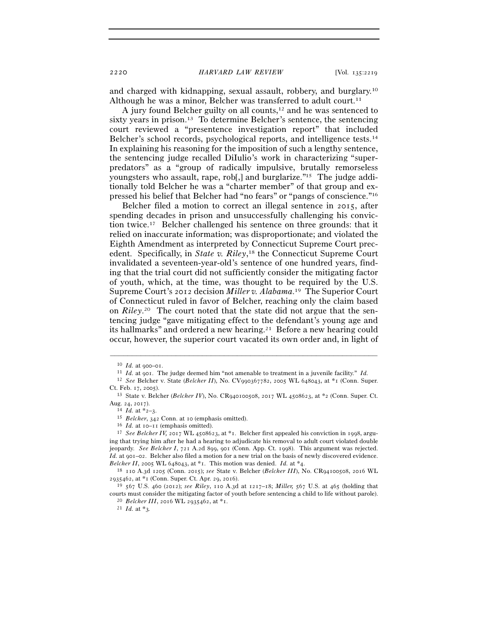and charged with kidnapping, sexual assault, robbery, and burglary.10 Although he was a minor, Belcher was transferred to adult court.<sup>11</sup>

A jury found Belcher guilty on all counts,<sup>12</sup> and he was sentenced to sixty years in prison.<sup>13</sup> To determine Belcher's sentence, the sentencing court reviewed a "presentence investigation report" that included Belcher's school records, psychological reports, and intelligence tests.14 In explaining his reasoning for the imposition of such a lengthy sentence, the sentencing judge recalled DiIulio's work in characterizing "superpredators" as a "group of radically impulsive, brutally remorseless youngsters who assault, rape, rob[,] and burglarize."15 The judge additionally told Belcher he was a "charter member" of that group and expressed his belief that Belcher had "no fears" or "pangs of conscience."16

Belcher filed a motion to correct an illegal sentence in 2015, after spending decades in prison and unsuccessfully challenging his conviction twice.17 Belcher challenged his sentence on three grounds: that it relied on inaccurate information; was disproportionate; and violated the Eighth Amendment as interpreted by Connecticut Supreme Court precedent. Specifically, in *State v. Riley*, 18 the Connecticut Supreme Court invalidated a seventeen-year-old's sentence of one hundred years, finding that the trial court did not sufficiently consider the mitigating factor of youth, which, at the time, was thought to be required by the U.S. Supreme Court's 2012 decision *Miller v. Alabama*. 19 The Superior Court of Connecticut ruled in favor of Belcher, reaching only the claim based on *Riley*. 20 The court noted that the state did not argue that the sentencing judge "gave mitigating effect to the defendant's young age and its hallmarks" and ordered a new hearing.21 Before a new hearing could occur, however, the superior court vacated its own order and, in light of

<sup>&</sup>lt;sup>10</sup> *Id.* at 900–01.<br><sup>11</sup> *Id.* at 901. The judge deemed him "not amenable to treatment in a juvenile facility." *Id.*<br><sup>12</sup> *See* Belcher v. State (*Belcher II*), No. CV990367782, 2005 WL 648043, at \*1 (Conn. Super.

Ct. Feb. 17, <sup>2005</sup>). 13 State v. Belcher (*Belcher IV*), No. CR940100508, 2017 WL 4508623, at \*2 (Conn. Super. Ct. Aug. 24, 2017).<br>
<sup>14</sup> *Id.* at \*2–3.<br>
<sup>15</sup> *Belcher*, 342 Conn. at 10 (emphasis omitted).<br>
<sup>16</sup> *Id.* at 10–11 (emphasis omitted).<br>
<sup>16</sup> *Id.* at 10–11 (emphasis omitted).<br>
<sup>17</sup> *See Belcher IV*, 2017 WL 4508623, at \*1. B

ing that trying him after he had a hearing to adjudicate his removal to adult court violated double jeopardy. *See Belcher I*, 721 A.2d 899, 901 (Conn. App. Ct. 1998). This argument was rejected. *Id.* at 901–02. Belcher also filed a motion for a new trial on the basis of newly discovered evidence.

*Belcher II*, 2005 WL 648043, at \*1. This motion was denied. *Id.* at \*<sup>4</sup>. 18 <sup>110</sup> A.3d 1205 (Conn. 2015); *see* State v. Belcher (*Belcher III*), No. CR94100508, 2016 WL <sup>2935462</sup>, at \*1 (Conn. Super. Ct. Apr. 29, <sup>2016</sup>). 19 <sup>567</sup> U.S. 460 (2012); *see Riley*, 110 A.3d at 1217–18; *Miller,* 567 U.S. at 465 (holding that

courts must consider the mitigating factor of youth before sentencing a child to life without parole). 20 *Belcher III*, 2016 WL 2935462, at \*<sup>1</sup>. 21 *Id.* at \*3*.*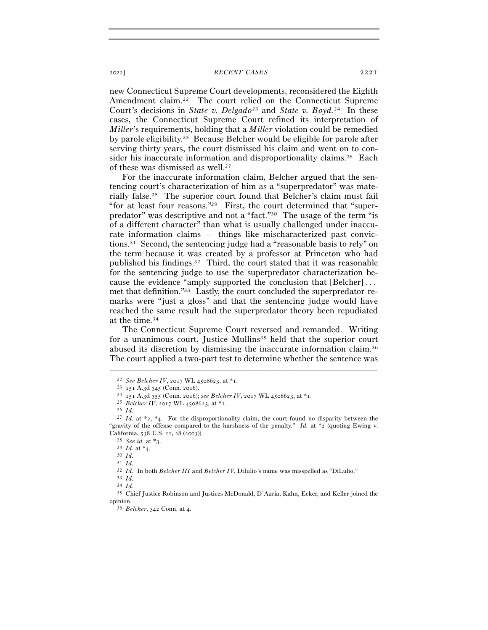## <sup>2022</sup>] *RECENT CASES* 2221

new Connecticut Supreme Court developments, reconsidered the Eighth Amendment claim.22 The court relied on the Connecticut Supreme Court's decisions in *State v. Delgado*23 and *State v. Boyd.*24 In these cases, the Connecticut Supreme Court refined its interpretation of *Miller*'s requirements, holding that a *Miller* violation could be remedied by parole eligibility.25 Because Belcher would be eligible for parole after serving thirty years, the court dismissed his claim and went on to consider his inaccurate information and disproportionality claims.<sup>26</sup> Each of these was dismissed as well.27

For the inaccurate information claim, Belcher argued that the sentencing court's characterization of him as a "superpredator" was materially false.28 The superior court found that Belcher's claim must fail "for at least four reasons."29 First, the court determined that "superpredator" was descriptive and not a "fact."30 The usage of the term "is of a different character" than what is usually challenged under inaccurate information claims — things like mischaracterized past convictions.31 Second, the sentencing judge had a "reasonable basis to rely" on the term because it was created by a professor at Princeton who had published his findings.32 Third, the court stated that it was reasonable for the sentencing judge to use the superpredator characterization because the evidence "amply supported the conclusion that [Belcher] . . . met that definition."33 Lastly, the court concluded the superpredator remarks were "just a gloss" and that the sentencing judge would have reached the same result had the superpredator theory been repudiated at the time.34

The Connecticut Supreme Court reversed and remanded. Writing for a unanimous court, Justice Mullins<sup>35</sup> held that the superior court abused its discretion by dismissing the inaccurate information claim.36 The court applied a two-part test to determine whether the sentence was

<sup>22</sup> *See Belcher IV*, 2017 WL 4508623, at \*<sup>1</sup>. 23 <sup>151</sup> A.3d 345 (Conn. <sup>2016</sup>). 24 <sup>151</sup> A.3d 355 (Conn. 2016); *see Belcher IV*, 2017 WL 4508623, at \*<sup>1</sup>. 25 *Belcher IV*, 2017 WL 4508623, at \*1.

<sup>26</sup> *Id.*

<sup>27</sup> *Id.* at \*2, \*4. For the disproportionality claim, the court found no disparity between the "gravity of the offense compared to the harshness of the penalty." *Id.* at  $*_2$  (quoting Ewing v. California, 538 U.S. 11, 28 (2003)). 28 *See id.* at \*<sup>3</sup>. 29 *Id.* at \*<sup>4</sup>. 30 *Id.*

<sup>&</sup>lt;sup>32</sup> *Id.* In both *Belcher III* and *Belcher IV*, DiIulio's name was misspelled as "DiLulio."<br><sup>33</sup> *Id.*<br><sup>34</sup> *Id.*<br><sup>35</sup> Chief Justice Robinson and Justices McDonald, D'Auria, Kahn, Ecker, and Keller joined the

opinion. 36 *Belcher*, 342 Conn. at 4.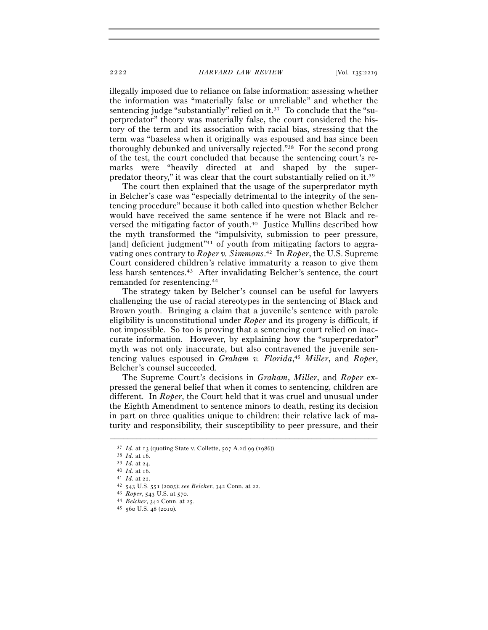2222 *HARVARD LAW REVIEW* [Vol. 135:<sup>2219</sup>

illegally imposed due to reliance on false information: assessing whether the information was "materially false or unreliable" and whether the sentencing judge "substantially" relied on it.37 To conclude that the "superpredator" theory was materially false, the court considered the history of the term and its association with racial bias, stressing that the term was "baseless when it originally was espoused and has since been thoroughly debunked and universally rejected."38 For the second prong of the test, the court concluded that because the sentencing court's remarks were "heavily directed at and shaped by the superpredator theory," it was clear that the court substantially relied on it.39

The court then explained that the usage of the superpredator myth in Belcher's case was "especially detrimental to the integrity of the sentencing procedure" because it both called into question whether Belcher would have received the same sentence if he were not Black and reversed the mitigating factor of youth.40 Justice Mullins described how the myth transformed the "impulsivity, submission to peer pressure, [and] deficient judgment"<sup>41</sup> of youth from mitigating factors to aggravating ones contrary to *Roper v. Simmons*. 42 In *Roper*, the U.S. Supreme Court considered children's relative immaturity a reason to give them less harsh sentences.43 After invalidating Belcher's sentence, the court remanded for resentencing.44

The strategy taken by Belcher's counsel can be useful for lawyers challenging the use of racial stereotypes in the sentencing of Black and Brown youth. Bringing a claim that a juvenile's sentence with parole eligibility is unconstitutional under *Roper* and its progeny is difficult, if not impossible. So too is proving that a sentencing court relied on inaccurate information. However, by explaining how the "superpredator" myth was not only inaccurate, but also contravened the juvenile sentencing values espoused in *Graham v. Florida*, <sup>45</sup> *Miller*, and *Roper*, Belcher's counsel succeeded.

The Supreme Court's decisions in *Graham*, *Miller*, and *Roper* expressed the general belief that when it comes to sentencing, children are different. In *Roper*, the Court held that it was cruel and unusual under the Eighth Amendment to sentence minors to death, resting its decision in part on three qualities unique to children: their relative lack of maturity and responsibility, their susceptibility to peer pressure, and their

<sup>&</sup>lt;sup>37</sup> *Id.* at 13 (quoting State v. Collette, 507 A.2d 99 (1986)).<br><sup>38</sup> *Id.* at 16.<br><sup>39</sup> *Id.* at 24.<br><sup>40</sup> *Id.* at 16.<br><sup>41</sup> *Id.* at 22.<br><sup>42</sup> 543 U.S. 551 (2005); see Belcher, 342 Conn. at 22.<br><sup>43</sup> *Roper*, 543 U.S. at 57

<sup>45</sup> 560 U.S. 48 (2010).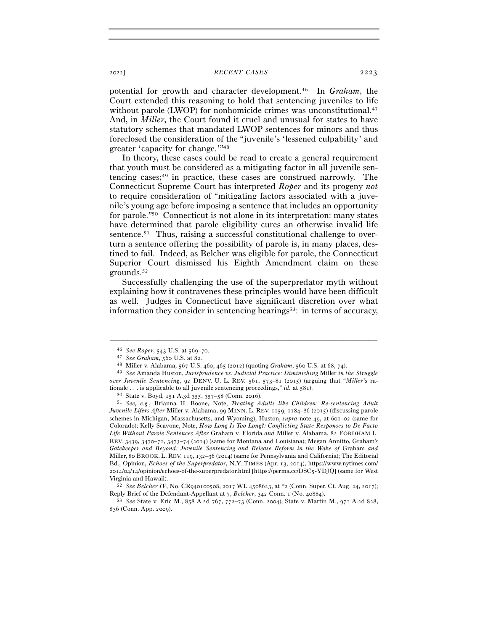<sup>2022</sup>] *RECENT CASES* 2223

potential for growth and character development.46 In *Graham*, the Court extended this reasoning to hold that sentencing juveniles to life without parole (LWOP) for nonhomicide crimes was unconstitutional.<sup>47</sup> And, in *Miller*, the Court found it cruel and unusual for states to have statutory schemes that mandated LWOP sentences for minors and thus foreclosed the consideration of the "juvenile's 'lessened culpability' and greater 'capacity for change.'"48

In theory, these cases could be read to create a general requirement that youth must be considered as a mitigating factor in all juvenile sentencing cases;49 in practice, these cases are construed narrowly. The Connecticut Supreme Court has interpreted *Roper* and its progeny *not* to require consideration of "mitigating factors associated with a juvenile's young age before imposing a sentence that includes an opportunity for parole."50 Connecticut is not alone in its interpretation: many states have determined that parole eligibility cures an otherwise invalid life sentence.<sup>51</sup> Thus, raising a successful constitutional challenge to overturn a sentence offering the possibility of parole is, in many places, destined to fail. Indeed, as Belcher was eligible for parole, the Connecticut Superior Court dismissed his Eighth Amendment claim on these grounds.52

Successfully challenging the use of the superpredator myth without explaining how it contravenes these principles would have been difficult as well. Judges in Connecticut have significant discretion over what information they consider in sentencing hearings $53$ : in terms of accuracy,

–––––––––––––––––––––––––––––––––––––––––––––––––––––––––––––

*Juvenile Lifers After* Miller v. Alabama, 99 MINN. L. REV. 1159, 1184–86 (2015) (discussing parole schemes in Michigan, Massachusetts, and Wyoming); Huston, *supra* note 49, at 601–02 (same for Colorado); Kelly Scavone, Note, *How Long Is Too Long?: Conflicting State Responses to De Facto Life Without Parole Sentences After* Graham v. Florida *and* Miller v. Alabama, 82 FORDHAM L. REV. 3439, 3470–71, 3473–74 (2014) (same for Montana and Louisiana); Megan Annitto, Graham*'s Gatekeeper and Beyond: Juvenile Sentencing and Release Reform in the Wake of Graham and* Miller, 80 BROOK. L. REV. 119, 132–36 (2014) (same for Pennsylvania and California); The Editorial Bd., Opinion, *Echoes of the Superpredator*, N.Y. TIMES (Apr. 13, 2014), https://www.nytimes.com/ 2014/04/14/opinion/echoes-of-the-superpredator.html [https://perma.cc/DSC5-YDJQ] (same for West Virginia and Hawaii). 52 *See Belcher IV*, No. CR940100508, 2017 WL 4508623, at \*2 (Conn. Super. Ct. Aug. 24, 2017);

836 (Conn. App. 2009).

<sup>&</sup>lt;sup>46</sup> See Roper, 543 U.S. at 569–70.<br><sup>47</sup> See Graham, 560 U.S. at 82.<br><sup>48</sup> Miller v. Alabama, 567 U.S. 460, 465 (2012) (quoting Graham, 560 U.S. at 68, 74).<br><sup>49</sup> See Amanda Huston, Jurisprudence vs. Judicial Practice: Dimi *over Juvenile Sentencing*, 92 DENV. U. L. REV. 561, 573–81 (2015) (arguing that "*Miller*'s rationale . . . is applicable to all juvenile sentencing proceedings," *id.* at 581).<br><sup>50</sup> State v. Boyd, 151 A.3d 355, 357–58 (Conn. 2016).<br><sup>51</sup> *See, e.g.*, Brianna H. Boone, Note, *Treating Adults like Children: Re-sente* 

Reply Brief of the Defendant-Appellant at 7, *Belcher*, 342 Conn. 1 (No. 40884).<br><sup>53</sup> *See* State v. Eric M., 858 A.2d 767, 772–73 (Conn. 2004); State v. Martin M., 971 A.2d 828,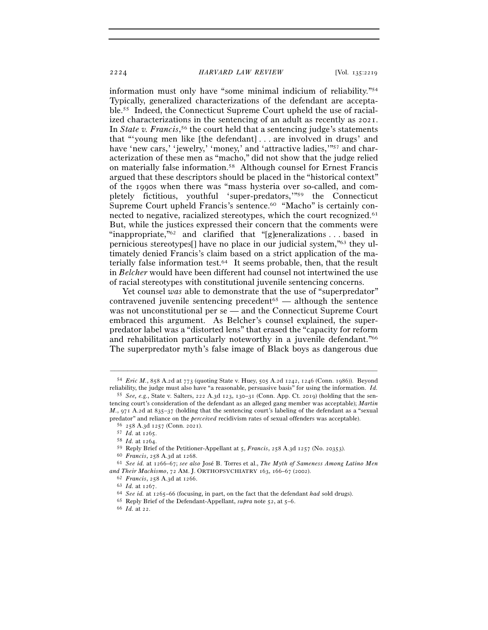2224 *HARVARD LAW REVIEW* [Vol. 135:<sup>2219</sup>

information must only have "some minimal indicium of reliability."54 Typically, generalized characterizations of the defendant are acceptable.55 Indeed, the Connecticut Supreme Court upheld the use of racialized characterizations in the sentencing of an adult as recently as 2021. In *State v. Francis*, 56 the court held that a sentencing judge's statements that "'young men like [the defendant] . . . are involved in drugs' and have 'new cars,' 'jewelry,' 'money,' and 'attractive ladies,'"<sup>57</sup> and characterization of these men as "macho," did not show that the judge relied on materially false information.58 Although counsel for Ernest Francis argued that these descriptors should be placed in the "historical context" of the 1990s when there was "mass hysteria over so-called, and completely fictitious, youthful 'super-predators,'"59 the Connecticut Supreme Court upheld Francis's sentence.<sup>60</sup> "Macho" is certainly connected to negative, racialized stereotypes, which the court recognized.<sup>61</sup> But, while the justices expressed their concern that the comments were "inappropriate,"62 and clarified that "[g]eneralizations . . . based in pernicious stereotypes[] have no place in our judicial system,"63 they ultimately denied Francis's claim based on a strict application of the materially false information test.64 It seems probable, then, that the result in *Belcher* would have been different had counsel not intertwined the use of racial stereotypes with constitutional juvenile sentencing concerns.

Yet counsel *was* able to demonstrate that the use of "superpredator" contravened juvenile sentencing precedent<sup> $65$ </sup> — although the sentence was not unconstitutional per se — and the Connecticut Supreme Court embraced this argument. As Belcher's counsel explained, the superpredator label was a "distorted lens" that erased the "capacity for reform and rehabilitation particularly noteworthy in a juvenile defendant."66 The superpredator myth's false image of Black boys as dangerous due

<sup>–––––––––––––––––––––––––––––––––––––––––––––––––––––––––––––</sup> <sup>54</sup> *Eric M.*, 858 A.2d at 773 (quoting State v. Huey, 505 A.2d 1242, 1246 (Conn. 1986)). Beyond reliability, the judge must also have "a reasonable, persuasive basis" for using the information. *Id.*

<sup>55</sup> *See, e.g.*, State v. Salters, 222 A.3d 123, 130–31 (Conn. App. Ct. 2019) (holding that the sentencing court's consideration of the defendant as an alleged gang member was acceptable); *Martin M.*, 971 A.2d at 835–37 (holding that the sentencing court's labeling of the defendant as a "sexual predator" and reliance on the *perceived* recidivism rates of sexual offenders was acceptable).<br>  $56$  258 A.3d 1257 (Conn. 2021).<br>  $57$  *Id.* at 1265.<br>  $58$  *Id.* at 1264.<br>  $59$  Reply Brief of the Petitioner-Appellant at

 $and\ Their\ Machines,\,72$  AM. J. ORTHOPSYCHIATRY 163, 166–67 (2002).<br> $62$  Francis, 258 A.3d at 1266.<br> $63$  Id. at 1267.<br> $64$  See id. at 1265–66 (focusing, in part, on the fact that the defendant had sold drugs).<br> $65$  Reply Brief of the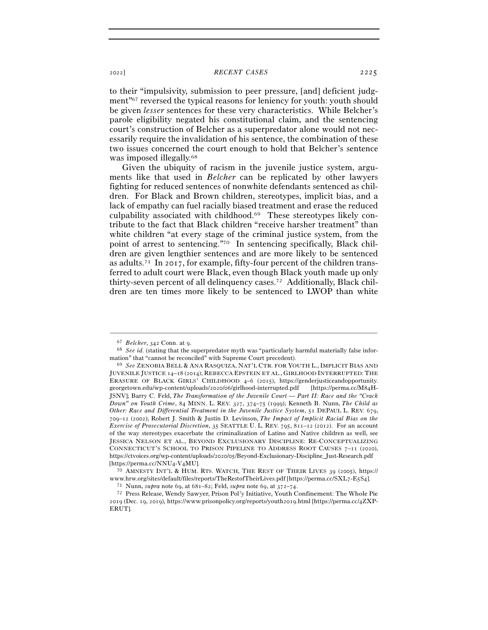## <sup>2022</sup>] *RECENT CASES* 2225

to their "impulsivity, submission to peer pressure, [and] deficient judgment<sup>"67</sup> reversed the typical reasons for leniency for youth: youth should be given *lesser* sentences for these very characteristics. While Belcher's parole eligibility negated his constitutional claim, and the sentencing court's construction of Belcher as a superpredator alone would not necessarily require the invalidation of his sentence, the combination of these two issues concerned the court enough to hold that Belcher's sentence was imposed illegally.<sup>68</sup>

Given the ubiquity of racism in the juvenile justice system, arguments like that used in *Belcher* can be replicated by other lawyers fighting for reduced sentences of nonwhite defendants sentenced as children. For Black and Brown children, stereotypes, implicit bias, and a lack of empathy can fuel racially biased treatment and erase the reduced culpability associated with childhood.69 These stereotypes likely contribute to the fact that Black children "receive harsher treatment" than white children "at every stage of the criminal justice system, from the point of arrest to sentencing."70 In sentencing specifically, Black children are given lengthier sentences and are more likely to be sentenced as adults.71 In 2017, for example, fifty-four percent of the children transferred to adult court were Black, even though Black youth made up only thirty-seven percent of all delinquency cases.72 Additionally, Black children are ten times more likely to be sentenced to LWOP than white

<sup>67</sup> *Belcher*, 342 Conn. at <sup>9</sup>. 68 *See id.* (stating that the superpredator myth was "particularly harmful materially false information" that "cannot be reconciled" with Supreme Court precedent). 69 *See* ZENOBIA BELL & ANA RASQUIZA, NAT'L CTR. FOR YOUTH L., IMPLICIT BIAS AND

JUVENILE JUSTICE 14–18 (2014); REBECCA EPSTEIN ET AL., GIRLHOOD INTERRUPTED: THE ERASURE OF BLACK GIRLS' CHILDHOOD 4–6 (2015), https://genderjusticeandopportunity. georgetown.edu/wp-content/uploads/2020/06/girlhood-interrupted.pdf [https://perma.cc/M84H-JSNV]; Barry C. Feld, *The Transformation of the Juvenile Court* — *Part II: Race and the "Crack Down" on Youth Crime*, 84 MINN. L. REV. 327, 374–75 (1999); Kenneth B. Nunn, *The Child as Other: Race and Differential Treatment in the Juvenile Justice System*, 51 DEPAUL L. REV. 679, 709–12 (2002); Robert J. Smith & Justin D. Levinson, *The Impact of Implicit Racial Bias on the Exercise of Prosecutorial Discretion*, 35 SEATTLE U. L. REV. 795, 811–12 (2012). For an account of the way stereotypes exacerbate the criminalization of Latino and Native children as well, see JESSICA NELSON ET AL., BEYOND EXCLUSIONARY DISCIPLINE: RE-CONCEPTUALIZING CONNECTICUT'S SCHOOL TO PRISON PIPELINE TO ADDRESS ROOT CAUSES 7–11 (2020), https://ctvoices.org/wp-content/uploads/2020/05/Beyond-Exclusionary-Discipline\_Just-Research.pdf [https://perma.cc/NNU4-V<sup>4</sup>MU]. 70 AMNESTY INT'L & HUM. RTS. WATCH, THE REST OF THEIR LIVES <sup>39</sup> (2005), https://

www.hrw.org/sites/default/files/reports/TheRestofTheirLives.pdf [https://perma.cc/SXL7-E5S4].<br><sup>71</sup> Nunn, *supra* note 69, at 681–82; Feld, *supra* note 69, at 372–74.<br><sup>72</sup> Press Release, Wendy Sawyer, Prison Pol'y Initiati

<sup>2019</sup> (Dec. 19, 2019), https://www.prisonpolicy.org/reports/youth2019.html [https://perma.cc/4ZXP-ERUT].